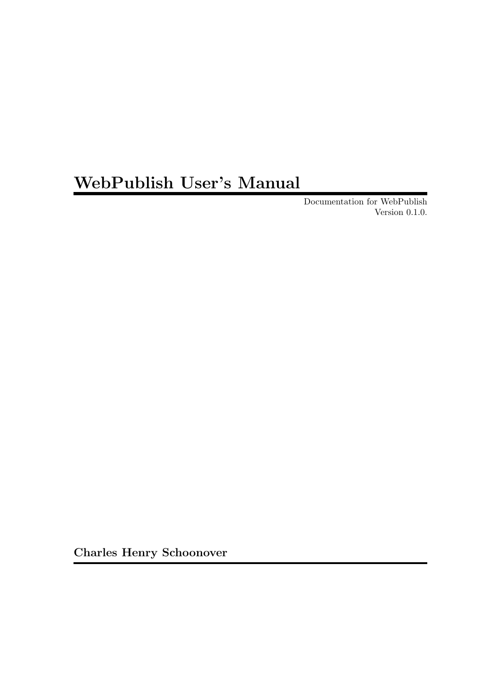# WebPublish User's Manual

Documentation for WebPublish Version 0.1.0.

Charles Henry Schoonover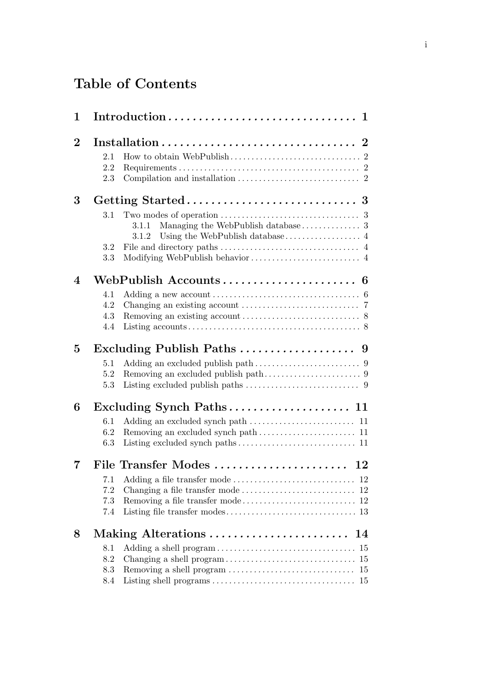# Table of Contents

| $\mathbf{1}$   | Introduction<br>$\mathbf 1$ |                                                                              |  |  |  |  |  |  |
|----------------|-----------------------------|------------------------------------------------------------------------------|--|--|--|--|--|--|
| $\overline{2}$ |                             |                                                                              |  |  |  |  |  |  |
|                | 2.1                         |                                                                              |  |  |  |  |  |  |
|                | 2.2                         |                                                                              |  |  |  |  |  |  |
|                | 2.3                         |                                                                              |  |  |  |  |  |  |
| 3              |                             |                                                                              |  |  |  |  |  |  |
|                | 3.1                         |                                                                              |  |  |  |  |  |  |
|                |                             | 3.1.1                                                                        |  |  |  |  |  |  |
|                |                             | 3.1.2                                                                        |  |  |  |  |  |  |
|                | 3.2                         |                                                                              |  |  |  |  |  |  |
|                | 3.3                         |                                                                              |  |  |  |  |  |  |
| 4              |                             |                                                                              |  |  |  |  |  |  |
|                | 4.1                         |                                                                              |  |  |  |  |  |  |
|                | 4.2                         |                                                                              |  |  |  |  |  |  |
|                | 4.3                         |                                                                              |  |  |  |  |  |  |
|                | 4.4                         |                                                                              |  |  |  |  |  |  |
| 5              |                             | Excluding Publish Paths $\dots \dots \dots \dots \dots$<br>9                 |  |  |  |  |  |  |
|                | 5.1                         |                                                                              |  |  |  |  |  |  |
|                | 5.2                         |                                                                              |  |  |  |  |  |  |
|                | 5.3                         | Listing excluded publish paths $\ldots \ldots \ldots \ldots \ldots \ldots$ 9 |  |  |  |  |  |  |
| 6              |                             |                                                                              |  |  |  |  |  |  |
|                | 6.1                         |                                                                              |  |  |  |  |  |  |
|                | 6.2                         |                                                                              |  |  |  |  |  |  |
|                | 6.3                         |                                                                              |  |  |  |  |  |  |
|                |                             | File Transfer Modes<br>12                                                    |  |  |  |  |  |  |
|                | 7.1                         |                                                                              |  |  |  |  |  |  |
|                | 7.2                         |                                                                              |  |  |  |  |  |  |
|                | 7.3                         |                                                                              |  |  |  |  |  |  |
|                | 7.4                         |                                                                              |  |  |  |  |  |  |
| 8              | Making Alterations<br>14    |                                                                              |  |  |  |  |  |  |
|                | 8.1                         | 15                                                                           |  |  |  |  |  |  |
|                | 8.2                         | 15                                                                           |  |  |  |  |  |  |
|                | 8.3                         | 15                                                                           |  |  |  |  |  |  |
|                | 8.4                         | 15                                                                           |  |  |  |  |  |  |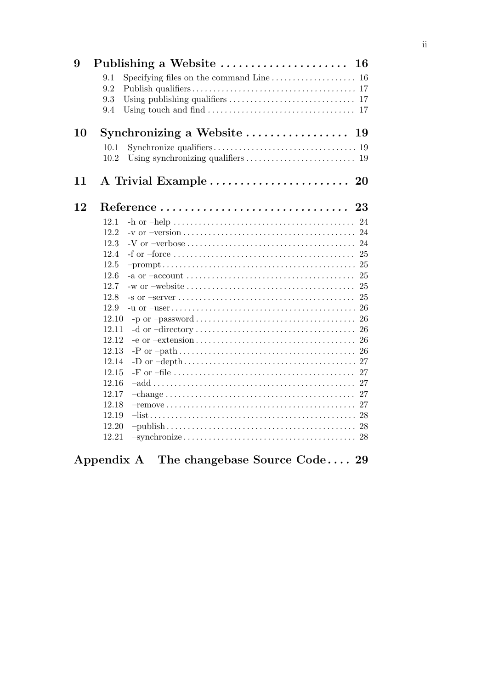| 9  |               | Publishing a Website<br>16                                                                                    |
|----|---------------|---------------------------------------------------------------------------------------------------------------|
|    | 9.1           | Specifying files on the command Line<br>16                                                                    |
|    | 9.2           |                                                                                                               |
|    | 9.3           |                                                                                                               |
|    | 9.4           | Using touch and find $\ldots \ldots \ldots \ldots \ldots \ldots \ldots \ldots \ldots \ldots \ldots$ 17        |
| 10 |               | Synchronizing a Website<br>19                                                                                 |
|    | 10.1          |                                                                                                               |
|    | 10.2          |                                                                                                               |
| 11 |               | A Trivial Example  20                                                                                         |
| 12 |               | 23                                                                                                            |
|    | 12.1          | 24                                                                                                            |
|    | 12.2          | 24<br>$-v$ or $-version \dots \dots \dots \dots \dots \dots \dots \dots \dots \dots \dots \dots \dots \dots$  |
|    | 12.3          | 24                                                                                                            |
|    | 12.4          | 25                                                                                                            |
|    | 12.5          |                                                                                                               |
|    | 12.6          | 25                                                                                                            |
|    | 12.7          | 25                                                                                                            |
|    | 12.8          | 25                                                                                                            |
|    | 12.9<br>12.10 | 26<br>26                                                                                                      |
|    | 12.11         | 26                                                                                                            |
|    | 12.12         | 26<br>$-e$ or $-extension \dots \dots \dots \dots \dots \dots \dots \dots \dots \dots \dots \dots$            |
|    | 12.13         |                                                                                                               |
|    | 12.14         |                                                                                                               |
|    | 12.15         | 27                                                                                                            |
|    | 12.16         | 27<br>$\text{-add} \dots \dots \dots \dots \dots \dots \dots \dots \dots \dots \dots \dots \dots \dots \dots$ |
|    | 12.17         | 27                                                                                                            |
|    | 12.18         |                                                                                                               |
|    | 12.19         |                                                                                                               |
|    | 12.20         |                                                                                                               |
|    | 12.21         |                                                                                                               |
|    |               | Appendix A The changebase Source Code 29                                                                      |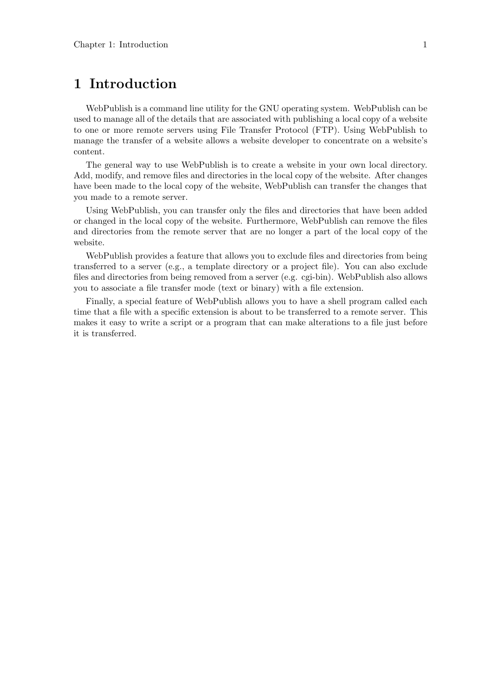# 1 Introduction

WebPublish is a command line utility for the GNU operating system. WebPublish can be used to manage all of the details that are associated with publishing a local copy of a website to one or more remote servers using File Transfer Protocol (FTP). Using WebPublish to manage the transfer of a website allows a website developer to concentrate on a website's content.

The general way to use WebPublish is to create a website in your own local directory. Add, modify, and remove files and directories in the local copy of the website. After changes have been made to the local copy of the website, WebPublish can transfer the changes that you made to a remote server.

Using WebPublish, you can transfer only the files and directories that have been added or changed in the local copy of the website. Furthermore, WebPublish can remove the files and directories from the remote server that are no longer a part of the local copy of the website.

WebPublish provides a feature that allows you to exclude files and directories from being transferred to a server (e.g., a template directory or a project file). You can also exclude files and directories from being removed from a server (e.g. cgi-bin). WebPublish also allows you to associate a file transfer mode (text or binary) with a file extension.

Finally, a special feature of WebPublish allows you to have a shell program called each time that a file with a specific extension is about to be transferred to a remote server. This makes it easy to write a script or a program that can make alterations to a file just before it is transferred.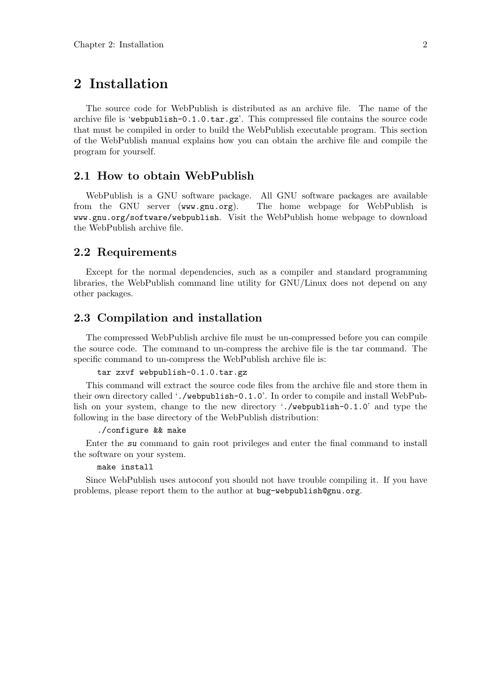# 2 Installation

The source code for WebPublish is distributed as an archive file. The name of the archive file is 'webpublish-0.1.0.tar.gz'. This compressed file contains the source code that must be compiled in order to build the WebPublish executable program. This section of the WebPublish manual explains how you can obtain the archive file and compile the program for yourself.

### 2.1 How to obtain WebPublish

WebPublish is a GNU software package. All GNU software packages are available from the GNU server (www.gnu.org). The home webpage for WebPublish is www.gnu.org/software/webpublish. Visit the WebPublish home webpage to download the WebPublish archive file.

#### 2.2 Requirements

Except for the normal dependencies, such as a compiler and standard programming libraries, the WebPublish command line utility for GNU/Linux does not depend on any other packages.

### 2.3 Compilation and installation

The compressed WebPublish archive file must be un-compressed before you can compile the source code. The command to un-compress the archive file is the tar command. The specific command to un-compress the WebPublish archive file is:

#### tar zxvf webpublish-0.1.0.tar.gz

This command will extract the source code files from the archive file and store them in their own directory called './webpublish-0.1.0'. In order to compile and install WebPublish on your system, change to the new directory './webpublish-0.1.0' and type the following in the base directory of the WebPublish distribution:

#### ./configure && make

Enter the su command to gain root privileges and enter the final command to install the software on your system.

#### make install

Since WebPublish uses autoconf you should not have trouble compiling it. If you have problems, please report them to the author at bug-webpublish@gnu.org.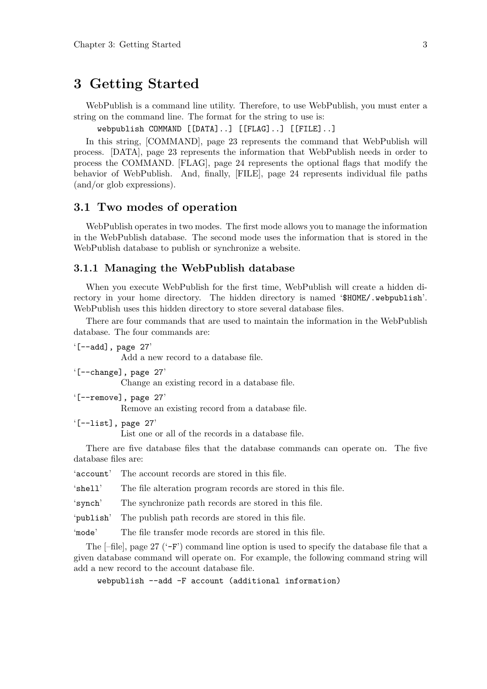## 3 Getting Started

WebPublish is a command line utility. Therefore, to use WebPublish, you must enter a string on the command line. The format for the string to use is:

webpublish COMMAND [[DATA]..] [[FLAG]..] [[FILE]..]

In this string, [COMMAND], page 23 represents the command that WebPublish will process. [DATA], page 23 represents the information that WebPublish needs in order to process the COMMAND. [FLAG], page 24 represents the optional flags that modify the behavior of WebPublish. And, finally, [FILE], page 24 represents individual file paths (and/or glob expressions).

#### 3.1 Two modes of operation

WebPublish operates in two modes. The first mode allows you to manage the information in the WebPublish database. The second mode uses the information that is stored in the WebPublish database to publish or synchronize a website.

#### 3.1.1 Managing the WebPublish database

When you execute WebPublish for the first time, WebPublish will create a hidden directory in your home directory. The hidden directory is named '\$HOME/.webpublish'. WebPublish uses this hidden directory to store several database files.

There are four commands that are used to maintain the information in the WebPublish database. The four commands are:

```
'[--add], page 27'
```
Add a new record to a database file.

'[--change], page 27'

Change an existing record in a database file.

```
'[--remove], page 27'
```
Remove an existing record from a database file.

```
'[--list], page 27'
```
List one or all of the records in a database file.

There are five database files that the database commands can operate on. The five database files are:

'account' The account records are stored in this file.

'shell' The file alteration program records are stored in this file.

'synch' The synchronize path records are stored in this file.

'publish' The publish path records are stored in this file.

'mode' The file transfer mode records are stored in this file.

The  $[-file]$ , page 27 ( $-F'$ ) command line option is used to specify the database file that a given database command will operate on. For example, the following command string will add a new record to the account database file.

webpublish --add -F account (additional information)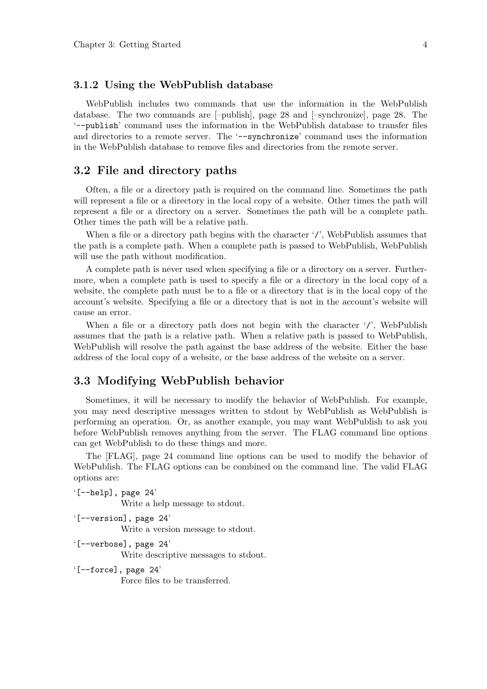#### 3.1.2 Using the WebPublish database

WebPublish includes two commands that use the information in the WebPublish database. The two commands are [–publish], page 28 and [–synchronize], page 28. The '--publish' command uses the information in the WebPublish database to transfer files and directories to a remote server. The '--synchronize' command uses the information in the WebPublish database to remove files and directories from the remote server.

#### 3.2 File and directory paths

Often, a file or a directory path is required on the command line. Sometimes the path will represent a file or a directory in the local copy of a website. Other times the path will represent a file or a directory on a server. Sometimes the path will be a complete path. Other times the path will be a relative path.

When a file or a directory path begins with the character '/', WebPublish assumes that the path is a complete path. When a complete path is passed to WebPublish, WebPublish will use the path without modification.

A complete path is never used when specifying a file or a directory on a server. Furthermore, when a complete path is used to specify a file or a directory in the local copy of a website, the complete path must be to a file or a directory that is in the local copy of the account's website. Specifying a file or a directory that is not in the account's website will cause an error.

When a file or a directory path does not begin with the character '/', WebPublish assumes that the path is a relative path. When a relative path is passed to WebPublish, WebPublish will resolve the path against the base address of the website. Either the base address of the local copy of a website, or the base address of the website on a server.

#### 3.3 Modifying WebPublish behavior

Sometimes, it will be necessary to modify the behavior of WebPublish. For example, you may need descriptive messages written to stdout by WebPublish as WebPublish is performing an operation. Or, as another example, you may want WebPublish to ask you before WebPublish removes anything from the server. The FLAG command line options can get WebPublish to do these things and more.

The [FLAG], page 24 command line options can be used to modify the behavior of WebPublish. The FLAG options can be combined on the command line. The valid FLAG options are:

 $'[-\text{help}]$ , page 24' Write a help message to stdout.

'[--version], page 24'

Write a version message to stdout.

'[--verbose], page 24' Write descriptive messages to stdout.

'[--force], page 24'

Force files to be transferred.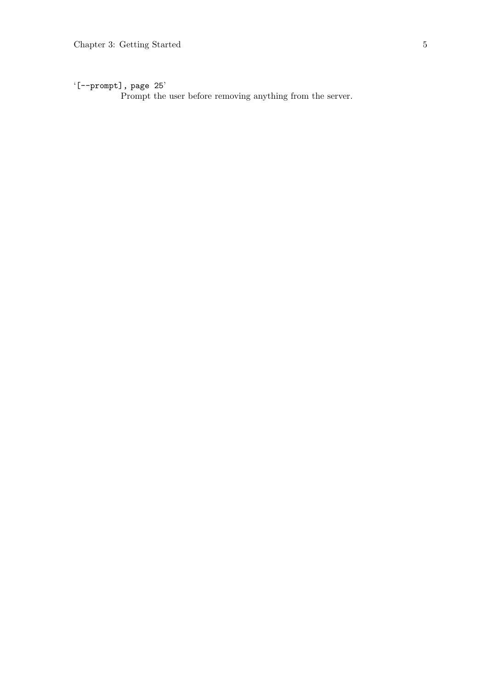'[--prompt], page 25'

Prompt the user before removing anything from the server.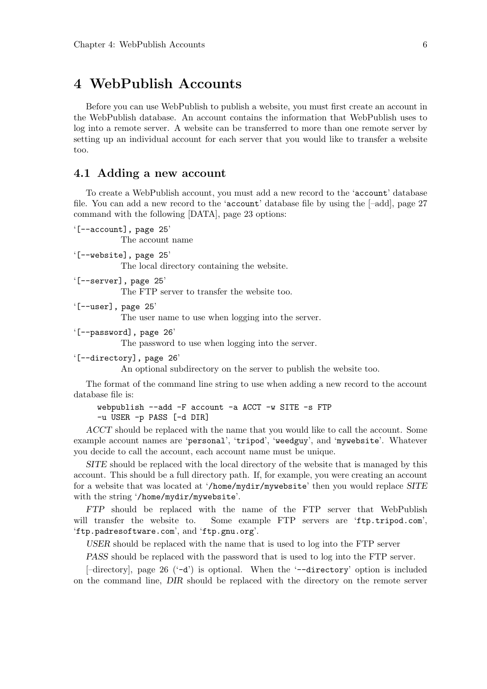# 4 WebPublish Accounts

Before you can use WebPublish to publish a website, you must first create an account in the WebPublish database. An account contains the information that WebPublish uses to log into a remote server. A website can be transferred to more than one remote server by setting up an individual account for each server that you would like to transfer a website too.

#### 4.1 Adding a new account

To create a WebPublish account, you must add a new record to the 'account' database file. You can add a new record to the 'account' database file by using the [–add], page 27 command with the following [DATA], page 23 options:

```
'[--account], page 25'
```
The account name

```
'[--website], page 25'
```
The local directory containing the website.

'[--server], page 25'

The FTP server to transfer the website too.

'[--user], page 25'

The user name to use when logging into the server.

'[--password], page 26'

The password to use when logging into the server.

'[--directory], page 26'

An optional subdirectory on the server to publish the website too.

The format of the command line string to use when adding a new record to the account database file is:

```
webpublish --add -F account -a ACCT -w SITE -s FTP
-u USER -p PASS [-d DIR]
```
ACCT should be replaced with the name that you would like to call the account. Some example account names are 'personal', 'tripod', 'weedguy', and 'mywebsite'. Whatever you decide to call the account, each account name must be unique.

SITE should be replaced with the local directory of the website that is managed by this account. This should be a full directory path. If, for example, you were creating an account for a website that was located at '/home/mydir/mywebsite' then you would replace SITE with the string '/home/mydir/mywebsite'.

FTP should be replaced with the name of the FTP server that WebPublish will transfer the website to. Some example FTP servers are 'ftp.tripod.com', 'ftp.padresoftware.com', and 'ftp.gnu.org'.

USER should be replaced with the name that is used to log into the FTP server

PASS should be replaced with the password that is used to log into the FTP server.

 $[-\text{directory}],$  page 26  $(-d')$  is optional. When the  $\text{-directory'}$  option is included on the command line, DIR should be replaced with the directory on the remote server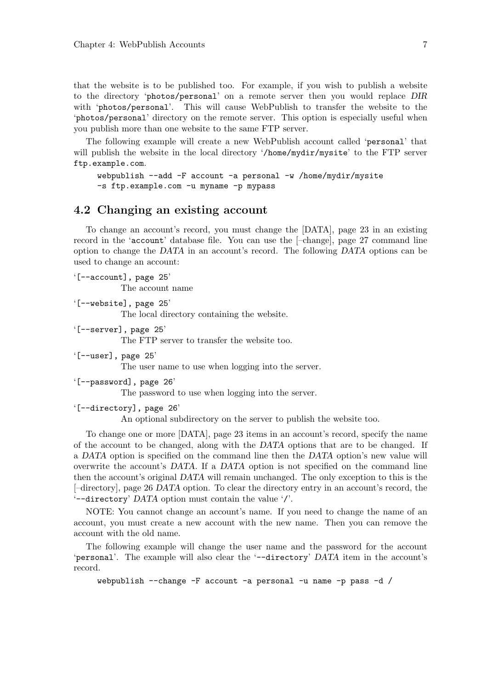that the website is to be published too. For example, if you wish to publish a website to the directory 'photos/personal' on a remote server then you would replace DIR with 'photos/personal'. This will cause WebPublish to transfer the website to the 'photos/personal' directory on the remote server. This option is especially useful when you publish more than one website to the same FTP server.

The following example will create a new WebPublish account called 'personal' that will publish the website in the local directory '/home/mydir/mysite' to the FTP server ftp.example.com.

```
webpublish --add -F account -a personal -w /home/mydir/mysite
-s ftp.example.com -u myname -p mypass
```
### 4.2 Changing an existing account

To change an account's record, you must change the [DATA], page 23 in an existing record in the 'account' database file. You can use the [–change], page 27 command line option to change the DATA in an account's record. The following DATA options can be used to change an account:

```
'[--account], page 25'
          The account name
```

```
'[--website], page 25'
```
The local directory containing the website.

'[--server], page 25'

The FTP server to transfer the website too.

'[--user], page 25'

The user name to use when logging into the server.

'[--password], page 26'

The password to use when logging into the server.

```
'[--directory], page 26'
```
An optional subdirectory on the server to publish the website too.

To change one or more [DATA], page 23 items in an account's record, specify the name of the account to be changed, along with the DATA options that are to be changed. If a DATA option is specified on the command line then the DATA option's new value will overwrite the account's DATA. If a DATA option is not specified on the command line then the account's original DATA will remain unchanged. The only exception to this is the [–directory], page 26 DATA option. To clear the directory entry in an account's record, the '--directory' DATA option must contain the value '/'.

NOTE: You cannot change an account's name. If you need to change the name of an account, you must create a new account with the new name. Then you can remove the account with the old name.

The following example will change the user name and the password for the account 'personal'. The example will also clear the '--directory' DATA item in the account's record.

webpublish --change -F account -a personal -u name -p pass -d /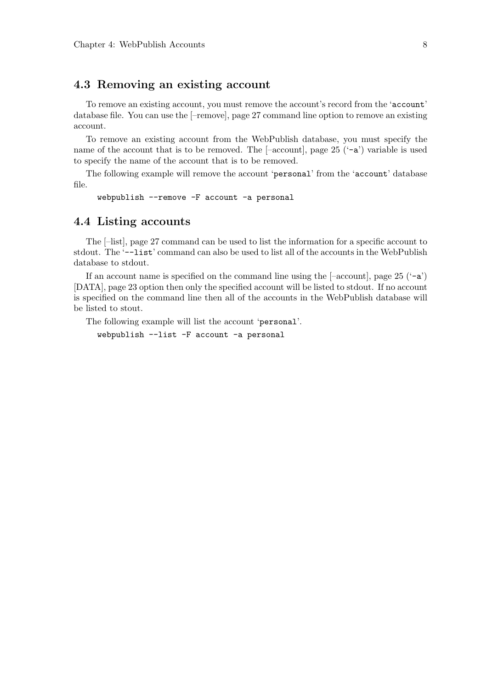### 4.3 Removing an existing account

To remove an existing account, you must remove the account's record from the 'account' database file. You can use the [–remove], page 27 command line option to remove an existing account.

To remove an existing account from the WebPublish database, you must specify the name of the account that is to be removed. The  $[-\text{account}]$ , page 25  $(^{\circ}-\text{a})$  variable is used to specify the name of the account that is to be removed.

The following example will remove the account 'personal' from the 'account' database file.

webpublish --remove -F account -a personal

#### 4.4 Listing accounts

The [–list], page 27 command can be used to list the information for a specific account to stdout. The '--list' command can also be used to list all of the accounts in the WebPublish database to stdout.

If an account name is specified on the command line using the  $[-\text{account}]$ , page 25  $(-a)$ [DATA], page 23 option then only the specified account will be listed to stdout. If no account is specified on the command line then all of the accounts in the WebPublish database will be listed to stout.

The following example will list the account 'personal'.

webpublish --list -F account -a personal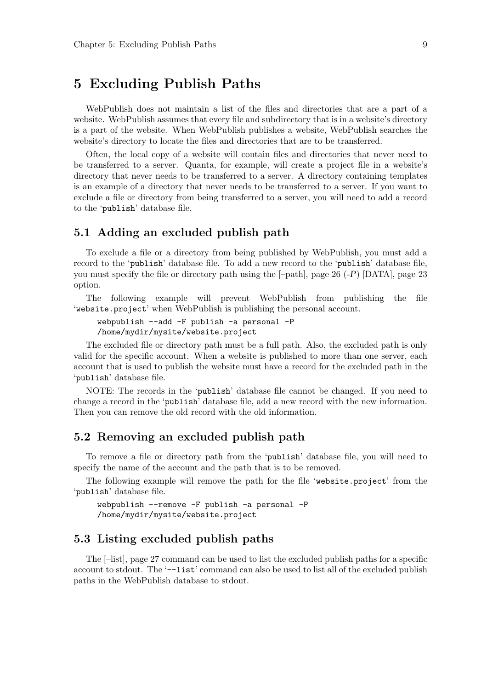# 5 Excluding Publish Paths

WebPublish does not maintain a list of the files and directories that are a part of a website. WebPublish assumes that every file and subdirectory that is in a website's directory is a part of the website. When WebPublish publishes a website, WebPublish searches the website's directory to locate the files and directories that are to be transferred.

Often, the local copy of a website will contain files and directories that never need to be transferred to a server. Quanta, for example, will create a project file in a website's directory that never needs to be transferred to a server. A directory containing templates is an example of a directory that never needs to be transferred to a server. If you want to exclude a file or directory from being transferred to a server, you will need to add a record to the 'publish' database file.

### 5.1 Adding an excluded publish path

To exclude a file or a directory from being published by WebPublish, you must add a record to the 'publish' database file. To add a new record to the 'publish' database file, you must specify the file or directory path using the  $[-path]$ , page 26 ( $-P$ ) [DATA], page 23 option.

The following example will prevent WebPublish from publishing the file 'website.project' when WebPublish is publishing the personal account.

```
webpublish --add -F publish -a personal -P
/home/mydir/mysite/website.project
```
The excluded file or directory path must be a full path. Also, the excluded path is only valid for the specific account. When a website is published to more than one server, each account that is used to publish the website must have a record for the excluded path in the 'publish' database file.

NOTE: The records in the 'publish' database file cannot be changed. If you need to change a record in the 'publish' database file, add a new record with the new information. Then you can remove the old record with the old information.

### 5.2 Removing an excluded publish path

To remove a file or directory path from the 'publish' database file, you will need to specify the name of the account and the path that is to be removed.

The following example will remove the path for the file 'website.project' from the 'publish' database file.

```
webpublish --remove -F publish -a personal -P
/home/mydir/mysite/website.project
```
#### 5.3 Listing excluded publish paths

The [–list], page 27 command can be used to list the excluded publish paths for a specific account to stdout. The '--list' command can also be used to list all of the excluded publish paths in the WebPublish database to stdout.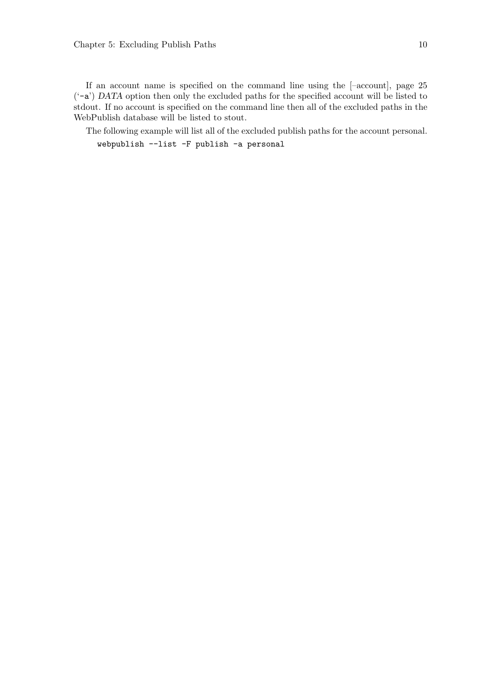If an account name is specified on the command line using the [–account], page 25 ('-a') DATA option then only the excluded paths for the specified account will be listed to stdout. If no account is specified on the command line then all of the excluded paths in the WebPublish database will be listed to stout.

The following example will list all of the excluded publish paths for the account personal. webpublish --list -F publish -a personal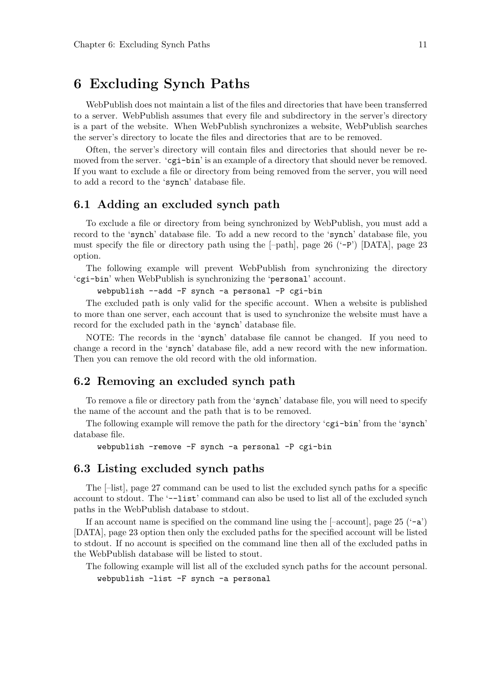# 6 Excluding Synch Paths

WebPublish does not maintain a list of the files and directories that have been transferred to a server. WebPublish assumes that every file and subdirectory in the server's directory is a part of the website. When WebPublish synchronizes a website, WebPublish searches the server's directory to locate the files and directories that are to be removed.

Often, the server's directory will contain files and directories that should never be removed from the server. ' $cgi-bin'$  is an example of a directory that should never be removed. If you want to exclude a file or directory from being removed from the server, you will need to add a record to the 'synch' database file.

#### 6.1 Adding an excluded synch path

To exclude a file or directory from being synchronized by WebPublish, you must add a record to the 'synch' database file. To add a new record to the 'synch' database file, you must specify the file or directory path using the  $[-path]$ , page 26  $(-P')$  [DATA], page 23 option.

The following example will prevent WebPublish from synchronizing the directory 'cgi-bin' when WebPublish is synchronizing the 'personal' account.

webpublish --add -F synch -a personal -P cgi-bin

The excluded path is only valid for the specific account. When a website is published to more than one server, each account that is used to synchronize the website must have a record for the excluded path in the 'synch' database file.

NOTE: The records in the 'synch' database file cannot be changed. If you need to change a record in the 'synch' database file, add a new record with the new information. Then you can remove the old record with the old information.

### 6.2 Removing an excluded synch path

To remove a file or directory path from the 'synch' database file, you will need to specify the name of the account and the path that is to be removed.

The following example will remove the path for the directory 'cgi-bin' from the 'synch' database file.

```
webpublish -remove -F synch -a personal -P cgi-bin
```
#### 6.3 Listing excluded synch paths

The [–list], page 27 command can be used to list the excluded synch paths for a specific account to stdout. The '--list' command can also be used to list all of the excluded synch paths in the WebPublish database to stdout.

If an account name is specified on the command line using the  $[-\text{account}]$ , page 25  $(-a)$ [DATA], page 23 option then only the excluded paths for the specified account will be listed to stdout. If no account is specified on the command line then all of the excluded paths in the WebPublish database will be listed to stout.

The following example will list all of the excluded synch paths for the account personal. webpublish -list -F synch -a personal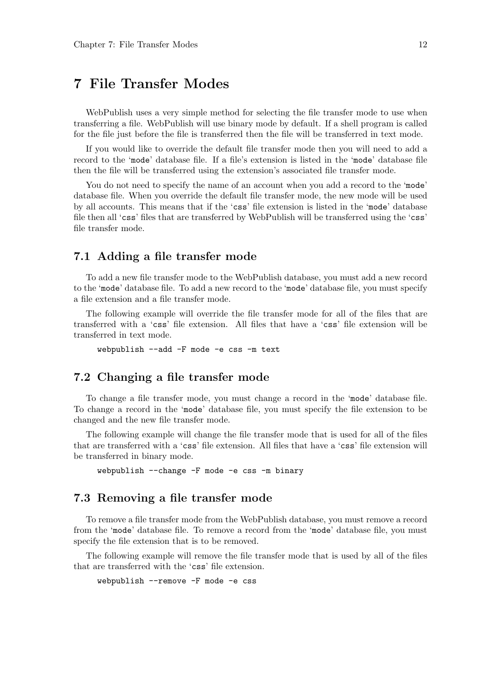# 7 File Transfer Modes

WebPublish uses a very simple method for selecting the file transfer mode to use when transferring a file. WebPublish will use binary mode by default. If a shell program is called for the file just before the file is transferred then the file will be transferred in text mode.

If you would like to override the default file transfer mode then you will need to add a record to the 'mode' database file. If a file's extension is listed in the 'mode' database file then the file will be transferred using the extension's associated file transfer mode.

You do not need to specify the name of an account when you add a record to the 'mode' database file. When you override the default file transfer mode, the new mode will be used by all accounts. This means that if the 'css' file extension is listed in the 'mode' database file then all 'css' files that are transferred by WebPublish will be transferred using the 'css' file transfer mode.

#### 7.1 Adding a file transfer mode

To add a new file transfer mode to the WebPublish database, you must add a new record to the 'mode' database file. To add a new record to the 'mode' database file, you must specify a file extension and a file transfer mode.

The following example will override the file transfer mode for all of the files that are transferred with a 'css' file extension. All files that have a 'css' file extension will be transferred in text mode.

webpublish --add -F mode -e css -m text

### 7.2 Changing a file transfer mode

To change a file transfer mode, you must change a record in the 'mode' database file. To change a record in the 'mode' database file, you must specify the file extension to be changed and the new file transfer mode.

The following example will change the file transfer mode that is used for all of the files that are transferred with a 'css' file extension. All files that have a 'css' file extension will be transferred in binary mode.

webpublish --change -F mode -e css -m binary

#### 7.3 Removing a file transfer mode

To remove a file transfer mode from the WebPublish database, you must remove a record from the 'mode' database file. To remove a record from the 'mode' database file, you must specify the file extension that is to be removed.

The following example will remove the file transfer mode that is used by all of the files that are transferred with the 'css' file extension.

webpublish --remove -F mode -e css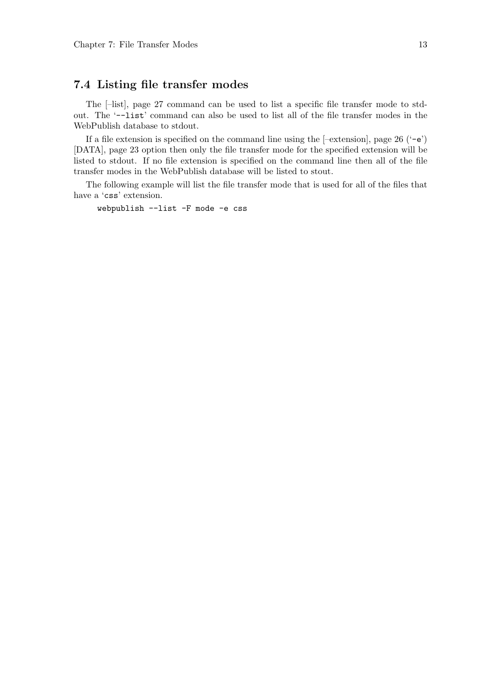### 7.4 Listing file transfer modes

The [–list], page 27 command can be used to list a specific file transfer mode to stdout. The '--list' command can also be used to list all of the file transfer modes in the WebPublish database to stdout.

If a file extension is specified on the command line using the  $[-extension]$ , page 26  $(-e)$ [DATA], page 23 option then only the file transfer mode for the specified extension will be listed to stdout. If no file extension is specified on the command line then all of the file transfer modes in the WebPublish database will be listed to stout.

The following example will list the file transfer mode that is used for all of the files that have a 'css' extension.

webpublish --list -F mode -e css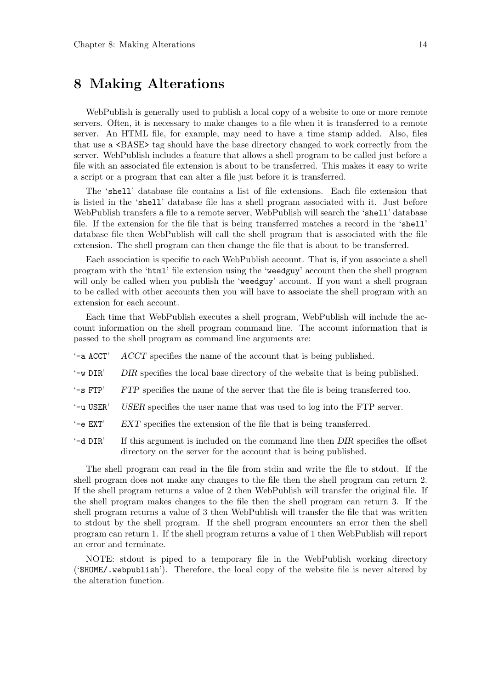# 8 Making Alterations

WebPublish is generally used to publish a local copy of a website to one or more remote servers. Often, it is necessary to make changes to a file when it is transferred to a remote server. An HTML file, for example, may need to have a time stamp added. Also, files that use a <BASE> tag should have the base directory changed to work correctly from the server. WebPublish includes a feature that allows a shell program to be called just before a file with an associated file extension is about to be transferred. This makes it easy to write a script or a program that can alter a file just before it is transferred.

The 'shell' database file contains a list of file extensions. Each file extension that is listed in the 'shell' database file has a shell program associated with it. Just before WebPublish transfers a file to a remote server, WebPublish will search the 'shell' database file. If the extension for the file that is being transferred matches a record in the 'shell' database file then WebPublish will call the shell program that is associated with the file extension. The shell program can then change the file that is about to be transferred.

Each association is specific to each WebPublish account. That is, if you associate a shell program with the 'html' file extension using the 'weedguy' account then the shell program will only be called when you publish the 'weedguy' account. If you want a shell program to be called with other accounts then you will have to associate the shell program with an extension for each account.

Each time that WebPublish executes a shell program, WebPublish will include the account information on the shell program command line. The account information that is passed to the shell program as command line arguments are:

- $-$ a ACCT'  $ACCT$  specifies the name of the account that is being published.
- $\angle$  W DIR' DIR specifies the local base directory of the website that is being published.
- $-$ s FTP' FTP specifies the name of the server that the file is being transferred too.
- '-u USER' USER specifies the user name that was used to log into the FTP server.
- '-e EXT' EXT specifies the extension of the file that is being transferred.
- $-$ d DIR' If this argument is included on the command line then DIR specifies the offset directory on the server for the account that is being published.

The shell program can read in the file from stdin and write the file to stdout. If the shell program does not make any changes to the file then the shell program can return 2. If the shell program returns a value of 2 then WebPublish will transfer the original file. If the shell program makes changes to the file then the shell program can return 3. If the shell program returns a value of 3 then WebPublish will transfer the file that was written to stdout by the shell program. If the shell program encounters an error then the shell program can return 1. If the shell program returns a value of 1 then WebPublish will report an error and terminate.

NOTE: stdout is piped to a temporary file in the WebPublish working directory ('\$HOME/.webpublish'). Therefore, the local copy of the website file is never altered by the alteration function.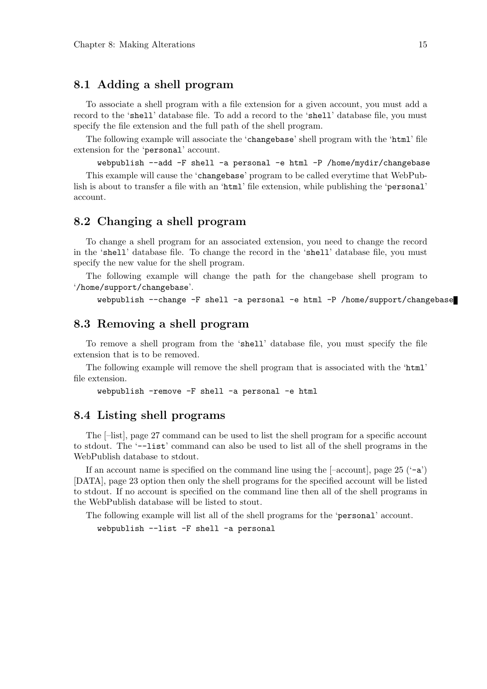### 8.1 Adding a shell program

To associate a shell program with a file extension for a given account, you must add a record to the 'shell' database file. To add a record to the 'shell' database file, you must specify the file extension and the full path of the shell program.

The following example will associate the 'changebase' shell program with the 'html' file extension for the 'personal' account.

webpublish --add -F shell -a personal -e html -P /home/mydir/changebase

This example will cause the 'changebase' program to be called everytime that WebPublish is about to transfer a file with an 'html' file extension, while publishing the 'personal' account.

#### 8.2 Changing a shell program

To change a shell program for an associated extension, you need to change the record in the 'shell' database file. To change the record in the 'shell' database file, you must specify the new value for the shell program.

The following example will change the path for the changebase shell program to '/home/support/changebase'.

```
webpublish --change -F shell -a personal -e html -P /home/support/changebase
```
#### 8.3 Removing a shell program

To remove a shell program from the 'shell' database file, you must specify the file extension that is to be removed.

The following example will remove the shell program that is associated with the 'html' file extension.

webpublish -remove -F shell -a personal -e html

#### 8.4 Listing shell programs

The [–list], page 27 command can be used to list the shell program for a specific account to stdout. The '--list' command can also be used to list all of the shell programs in the WebPublish database to stdout.

If an account name is specified on the command line using the  $[-\text{account}]$ , page 25  $(-a)$ [DATA], page 23 option then only the shell programs for the specified account will be listed to stdout. If no account is specified on the command line then all of the shell programs in the WebPublish database will be listed to stout.

The following example will list all of the shell programs for the 'personal' account.

webpublish --list -F shell -a personal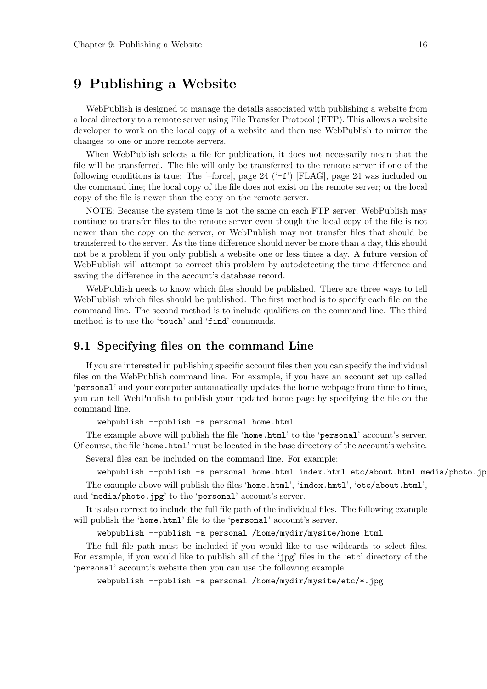# 9 Publishing a Website

WebPublish is designed to manage the details associated with publishing a website from a local directory to a remote server using File Transfer Protocol (FTP). This allows a website developer to work on the local copy of a website and then use WebPublish to mirror the changes to one or more remote servers.

When WebPublish selects a file for publication, it does not necessarily mean that the file will be transferred. The file will only be transferred to the remote server if one of the following conditions is true: The  $[-force]$ , page 24  $(-f')$  [FLAG], page 24 was included on the command line; the local copy of the file does not exist on the remote server; or the local copy of the file is newer than the copy on the remote server.

NOTE: Because the system time is not the same on each FTP server, WebPublish may continue to transfer files to the remote server even though the local copy of the file is not newer than the copy on the server, or WebPublish may not transfer files that should be transferred to the server. As the time difference should never be more than a day, this should not be a problem if you only publish a website one or less times a day. A future version of WebPublish will attempt to correct this problem by autodetecting the time difference and saving the difference in the account's database record.

WebPublish needs to know which files should be published. There are three ways to tell WebPublish which files should be published. The first method is to specify each file on the command line. The second method is to include qualifiers on the command line. The third method is to use the 'touch' and 'find' commands.

#### 9.1 Specifying files on the command Line

If you are interested in publishing specific account files then you can specify the individual files on the WebPublish command line. For example, if you have an account set up called 'personal' and your computer automatically updates the home webpage from time to time, you can tell WebPublish to publish your updated home page by specifying the file on the command line.

webpublish --publish -a personal home.html

The example above will publish the file 'home.html' to the 'personal' account's server. Of course, the file 'home.html' must be located in the base directory of the account's website.

Several files can be included on the command line. For example:

```
webpublish --publish -a personal home.html index.html etc/about.html media/photo.jp
```
The example above will publish the files 'home.html', 'index.hmtl', 'etc/about.html', and 'media/photo.jpg' to the 'personal' account's server.

It is also correct to include the full file path of the individual files. The following example will publish the 'home.html' file to the 'personal' account's server.

webpublish --publish -a personal /home/mydir/mysite/home.html

The full file path must be included if you would like to use wildcards to select files. For example, if you would like to publish all of the 'jpg' files in the 'etc' directory of the 'personal' account's website then you can use the following example.

webpublish --publish -a personal /home/mydir/mysite/etc/\*.jpg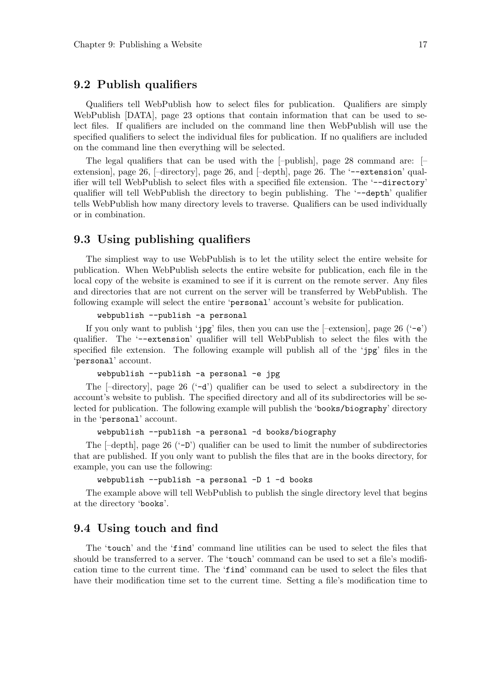### 9.2 Publish qualifiers

Qualifiers tell WebPublish how to select files for publication. Qualifiers are simply WebPublish [DATA], page 23 options that contain information that can be used to select files. If qualifiers are included on the command line then WebPublish will use the specified qualifiers to select the individual files for publication. If no qualifiers are included on the command line then everything will be selected.

The legal qualifiers that can be used with the  $[-$ publish], page 28 command are:  $[-]$ extension], page 26,  $[-\text{directory}],$  page 26, and  $[-\text{depth}],$  page 26. The  $\text{-extension'}$  qualifier will tell WebPublish to select files with a specified file extension. The '--directory' qualifier will tell WebPublish the directory to begin publishing. The '--depth' qualifier tells WebPublish how many directory levels to traverse. Qualifiers can be used individually or in combination.

### 9.3 Using publishing qualifiers

The simpliest way to use WebPublish is to let the utility select the entire website for publication. When WebPublish selects the entire website for publication, each file in the local copy of the website is examined to see if it is current on the remote server. Any files and directories that are not current on the server will be transferred by WebPublish. The following example will select the entire 'personal' account's website for publication.

webpublish --publish -a personal

If you only want to publish 'jpg' files, then you can use the  $[-\text{extension}]$ , page 26 ('-e') qualifier. The '--extension' qualifier will tell WebPublish to select the files with the specified file extension. The following example will publish all of the 'jpg' files in the 'personal' account.

```
webpublish --publish -a personal -e jpg
```
The  $\lceil$ -directory, page 26 ( $\lceil$ -d') qualifier can be used to select a subdirectory in the account's website to publish. The specified directory and all of its subdirectories will be selected for publication. The following example will publish the 'books/biography' directory in the 'personal' account.

```
webpublish --publish -a personal -d books/biography
```
The  $[-\text{depth}]$ , page 26  $(-\mathbf{D}')$  qualifier can be used to limit the number of subdirectories that are published. If you only want to publish the files that are in the books directory, for example, you can use the following:

```
webpublish --publish -a personal -D 1 -d books
```
The example above will tell WebPublish to publish the single directory level that begins at the directory 'books'.

#### 9.4 Using touch and find

The 'touch' and the 'find' command line utilities can be used to select the files that should be transferred to a server. The 'touch' command can be used to set a file's modification time to the current time. The 'find' command can be used to select the files that have their modification time set to the current time. Setting a file's modification time to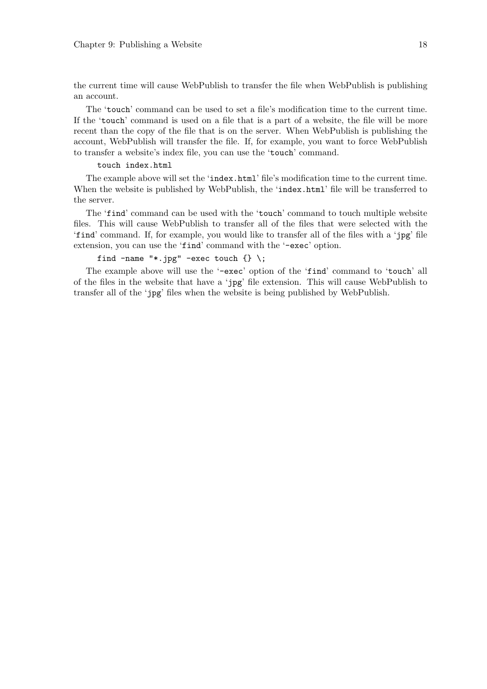the current time will cause WebPublish to transfer the file when WebPublish is publishing an account.

The 'touch' command can be used to set a file's modification time to the current time. If the 'touch' command is used on a file that is a part of a website, the file will be more recent than the copy of the file that is on the server. When WebPublish is publishing the account, WebPublish will transfer the file. If, for example, you want to force WebPublish to transfer a website's index file, you can use the 'touch' command.

#### touch index.html

The example above will set the 'index.html' file's modification time to the current time. When the website is published by WebPublish, the 'index.html' file will be transferred to the server.

The 'find' command can be used with the 'touch' command to touch multiple website files. This will cause WebPublish to transfer all of the files that were selected with the 'find' command. If, for example, you would like to transfer all of the files with a 'jpg' file extension, you can use the 'find' command with the '-exec' option.

#### find -name "\*.jpg" -exec touch  $\{\} \setminus;$

The example above will use the '-exec' option of the 'find' command to 'touch' all of the files in the website that have a 'jpg' file extension. This will cause WebPublish to transfer all of the 'jpg' files when the website is being published by WebPublish.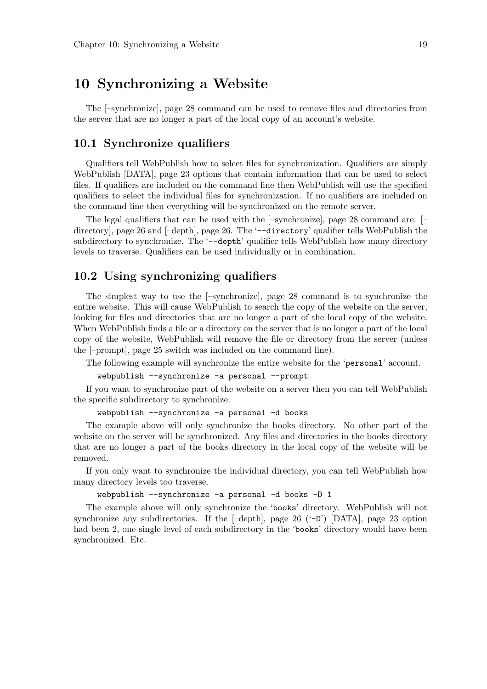# 10 Synchronizing a Website

The [–synchronize], page 28 command can be used to remove files and directories from the server that are no longer a part of the local copy of an account's website.

#### 10.1 Synchronize qualifiers

Qualifiers tell WebPublish how to select files for synchronization. Qualifiers are simply WebPublish [DATA], page 23 options that contain information that can be used to select files. If qualifiers are included on the command line then WebPublish will use the specified qualifiers to select the individual files for synchronization. If no qualifiers are included on the command line then everything will be synchronized on the remote server.

The legal qualifiers that can be used with the [–synchronize], page 28 command are: [– directory], page 26 and  $[-\text{depth}]$ , page 26. The '--directory' qualifier tells WebPublish the subdirectory to synchronize. The '--depth' qualifier tells WebPublish how many directory levels to traverse. Qualifiers can be used individually or in combination.

#### 10.2 Using synchronizing qualifiers

The simplest way to use the [–synchronize], page 28 command is to synchronize the entire website. This will cause WebPublish to search the copy of the website on the server, looking for files and directories that are no longer a part of the local copy of the website. When WebPublish finds a file or a directory on the server that is no longer a part of the local copy of the website, WebPublish will remove the file or directory from the server (unless the [–prompt], page 25 switch was included on the command line).

The following example will synchronize the entire website for the 'personal' account.

webpublish --synchronize -a personal --prompt

If you want to synchronize part of the website on a server then you can tell WebPublish the specific subdirectory to synchronize.

```
webpublish --synchronize -a personal -d books
```
The example above will only synchronize the books directory. No other part of the website on the server will be synchronized. Any files and directories in the books directory that are no longer a part of the books directory in the local copy of the website will be removed.

If you only want to synchronize the individual directory, you can tell WebPublish how many directory levels too traverse.

```
webpublish --synchronize -a personal -d books -D 1
```
The example above will only synchronize the 'books' directory. WebPublish will not synchronize any subdirectories. If the  $[-depth]$ , page 26  $(-D)$  [DATA], page 23 option had been 2, one single level of each subdirectory in the 'books' directory would have been synchronized. Etc.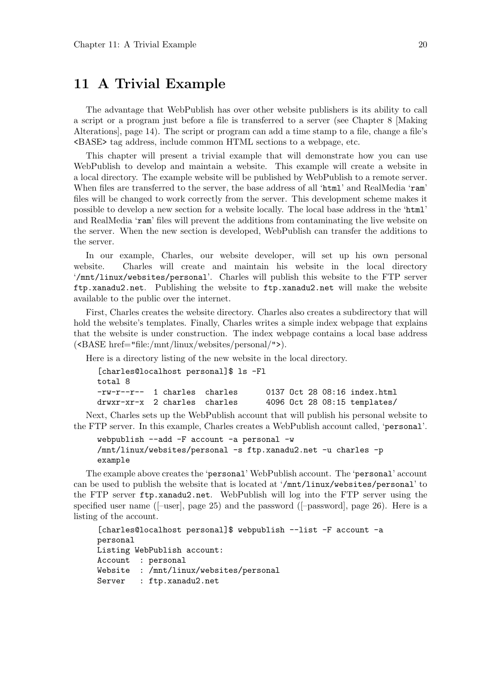# 11 A Trivial Example

The advantage that WebPublish has over other website publishers is its ability to call a script or a program just before a file is transferred to a server (see Chapter 8 [Making Alterations], page 14). The script or program can add a time stamp to a file, change a file's <BASE> tag address, include common HTML sections to a webpage, etc.

This chapter will present a trivial example that will demonstrate how you can use WebPublish to develop and maintain a website. This example will create a website in a local directory. The example website will be published by WebPublish to a remote server. When files are transferred to the server, the base address of all 'html' and RealMedia 'ram' files will be changed to work correctly from the server. This development scheme makes it possible to develop a new section for a website locally. The local base address in the 'html' and RealMedia 'ram' files will prevent the additions from contaminating the live website on the server. When the new section is developed, WebPublish can transfer the additions to the server.

In our example, Charles, our website developer, will set up his own personal website. Charles will create and maintain his website in the local directory '/mnt/linux/websites/personal'. Charles will publish this website to the FTP server ftp.xanadu2.net. Publishing the website to ftp.xanadu2.net will make the website available to the public over the internet.

First, Charles creates the website directory. Charles also creates a subdirectory that will hold the website's templates. Finally, Charles writes a simple index webpage that explains that the website is under construction. The index webpage contains a local base address (<BASE href="file:/mnt/linux/websites/personal/">).

Here is a directory listing of the new website in the local directory.

```
[charles@localhost personal]$ ls -Fl
total 8
-rw-r--r-- 1 charles charles 0137 Oct 28 08:16 index.html
drwxr-xr-x 2 charles charles 4096 Oct 28 08:15 templates/
```
Next, Charles sets up the WebPublish account that will publish his personal website to the FTP server. In this example, Charles creates a WebPublish account called, 'personal'.

```
webpublish --add -F account -a personal -w
/mnt/linux/websites/personal -s ftp.xanadu2.net -u charles -p
example
```
The example above creates the 'personal' WebPublish account. The 'personal' account can be used to publish the website that is located at '/mnt/linux/websites/personal' to the FTP server ftp.xanadu2.net. WebPublish will log into the FTP server using the specified user name  $(-\text{user}]$ , page 25) and the password  $(-\text{password}]$ , page 26). Here is a listing of the account.

```
[charles@localhost personal]$ webpublish --list -F account -a
personal
Listing WebPublish account:
Account : personal
Website : /mnt/linux/websites/personal
Server : ftp.xanadu2.net
```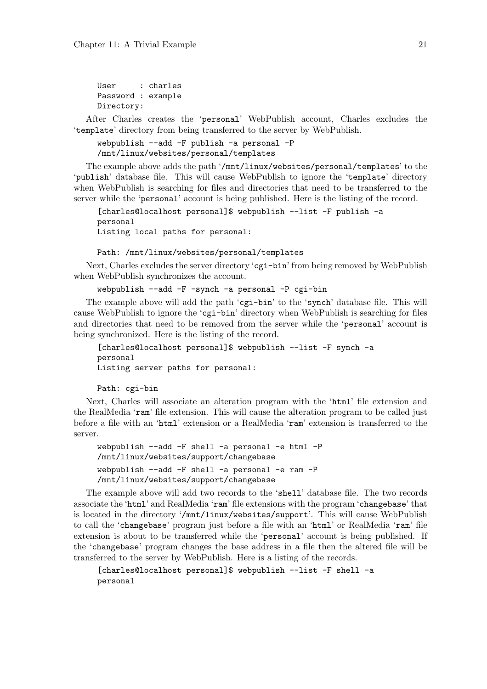```
User : charles
Password : example
Directory:
```
After Charles creates the 'personal' WebPublish account, Charles excludes the 'template' directory from being transferred to the server by WebPublish.

```
webpublish --add -F publish -a personal -P
/mnt/linux/websites/personal/templates
```
The example above adds the path '/mnt/linux/websites/personal/templates' to the 'publish' database file. This will cause WebPublish to ignore the 'template' directory when WebPublish is searching for files and directories that need to be transferred to the server while the 'personal' account is being published. Here is the listing of the record.

```
[charles@localhost personal]$ webpublish --list -F publish -a
personal
Listing local paths for personal:
```
Path: /mnt/linux/websites/personal/templates

Next, Charles excludes the server directory 'cgi-bin' from being removed by WebPublish when WebPublish synchronizes the account.

webpublish --add -F -synch -a personal -P cgi-bin

The example above will add the path 'cgi-bin' to the 'synch' database file. This will cause WebPublish to ignore the 'cgi-bin' directory when WebPublish is searching for files and directories that need to be removed from the server while the 'personal' account is being synchronized. Here is the listing of the record.

```
[charles@localhost personal]$ webpublish --list -F synch -a
personal
Listing server paths for personal:
```
Path: cgi-bin

Next, Charles will associate an alteration program with the 'html' file extension and the RealMedia 'ram' file extension. This will cause the alteration program to be called just before a file with an 'html' extension or a RealMedia 'ram' extension is transferred to the server.

```
webpublish --add -F shell -a personal -e html -P
/mnt/linux/websites/support/changebase
webpublish --add -F shell -a personal -e ram -P
/mnt/linux/websites/support/changebase
```
The example above will add two records to the 'shell' database file. The two records associate the 'html' and RealMedia 'ram' file extensions with the program 'changebase' that is located in the directory '/mnt/linux/websites/support'. This will cause WebPublish to call the 'changebase' program just before a file with an 'html' or RealMedia 'ram' file extension is about to be transferred while the 'personal' account is being published. If the 'changebase' program changes the base address in a file then the altered file will be transferred to the server by WebPublish. Here is a listing of the records.

```
[charles@localhost personal]$ webpublish --list -F shell -a
personal
```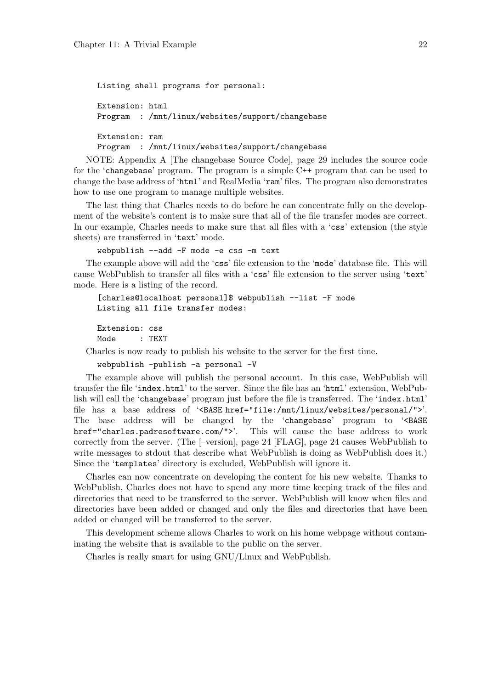```
Listing shell programs for personal:
Extension: html
Program : /mnt/linux/websites/support/changebase
Extension: ram
Program : /mnt/linux/websites/support/changebase
```
NOTE: Appendix A [The changebase Source Code], page 29 includes the source code for the 'changebase' program. The program is a simple C++ program that can be used to change the base address of 'html' and RealMedia 'ram' files. The program also demonstrates how to use one program to manage multiple websites.

The last thing that Charles needs to do before he can concentrate fully on the development of the website's content is to make sure that all of the file transfer modes are correct. In our example, Charles needs to make sure that all files with a 'css' extension (the style sheets) are transferred in 'text' mode.

webpublish --add -F mode -e css -m text

The example above will add the 'css' file extension to the 'mode' database file. This will cause WebPublish to transfer all files with a 'css' file extension to the server using 'text' mode. Here is a listing of the record.

```
[charles@localhost personal]$ webpublish --list -F mode
Listing all file transfer modes:
```
Extension: css Mode : TEXT

Charles is now ready to publish his website to the server for the first time.

webpublish -publish -a personal -V

The example above will publish the personal account. In this case, WebPublish will transfer the file 'index.html' to the server. Since the file has an 'html' extension, WebPublish will call the 'changebase' program just before the file is transferred. The 'index.html' file has a base address of '<BASE href="file:/mnt/linux/websites/personal/">'. The base address will be changed by the 'changebase' program to '<BASE href="charles.padresoftware.com/">'. This will cause the base address to work correctly from the server. (The [–version], page 24 [FLAG], page 24 causes WebPublish to write messages to stdout that describe what WebPublish is doing as WebPublish does it.) Since the 'templates' directory is excluded, WebPublish will ignore it.

Charles can now concentrate on developing the content for his new website. Thanks to WebPublish, Charles does not have to spend any more time keeping track of the files and directories that need to be transferred to the server. WebPublish will know when files and directories have been added or changed and only the files and directories that have been added or changed will be transferred to the server.

This development scheme allows Charles to work on his home webpage without contaminating the website that is available to the public on the server.

Charles is really smart for using GNU/Linux and WebPublish.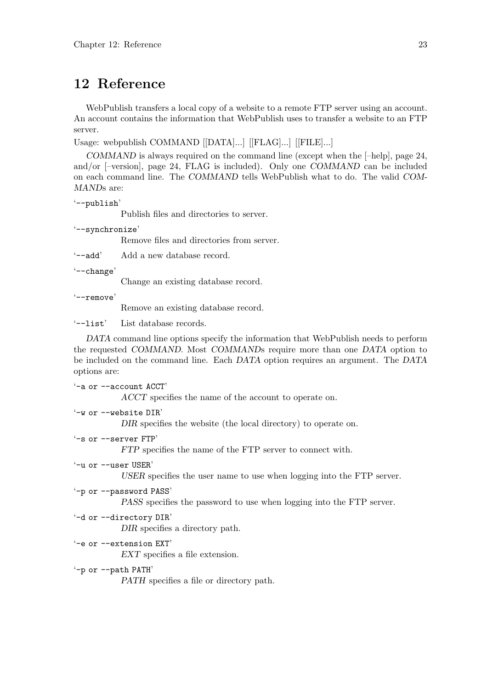# 12 Reference

WebPublish transfers a local copy of a website to a remote FTP server using an account. An account contains the information that WebPublish uses to transfer a website to an FTP server.

Usage: webpublish COMMAND [[DATA]...] [[FLAG]...] [[FILE]...]

COMMAND is always required on the command line (except when the [–help], page 24, and/or [–version], page 24, FLAG is included). Only one COMMAND can be included on each command line. The COMMAND tells WebPublish what to do. The valid COM-MANDs are:

```
'--publish'
```
Publish files and directories to server.

'--synchronize'

Remove files and directories from server.

'--add' Add a new database record.

'--change'

Change an existing database record.

'--remove'

Remove an existing database record.

'--list' List database records.

DATA command line options specify the information that WebPublish needs to perform the requested COMMAND. Most COMMANDs require more than one DATA option to be included on the command line. Each DATA option requires an argument. The DATA options are:

'-a or --account ACCT' ACCT specifies the name of the account to operate on. '-w or --website DIR' DIR specifies the website (the local directory) to operate on. '-s or --server FTP' FTP specifies the name of the FTP server to connect with. '-u or --user USER' USER specifies the user name to use when logging into the FTP server. '-p or --password PASS' PASS specifies the password to use when logging into the FTP server. '-d or --directory DIR' DIR specifies a directory path. '-e or --extension EXT' EXT specifies a file extension. '-p or --path PATH' PATH specifies a file or directory path.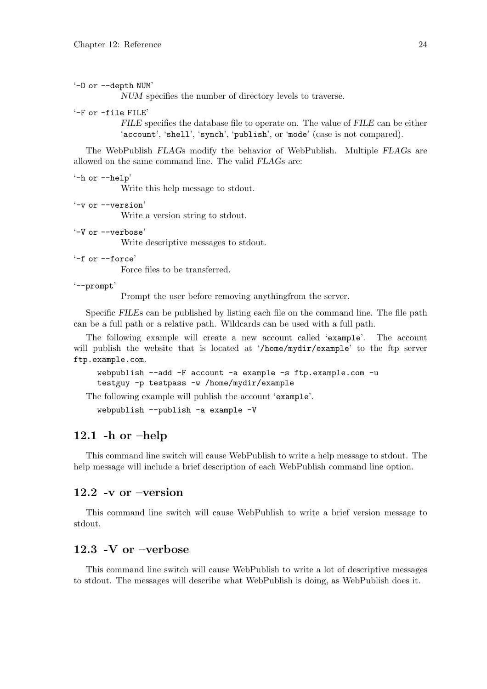'-D or --depth NUM'

NUM specifies the number of directory levels to traverse.

'-F or -file FILE'

FILE specifies the database file to operate on. The value of FILE can be either 'account', 'shell', 'synch', 'publish', or 'mode' (case is not compared).

The WebPublish FLAGs modify the behavior of WebPublish. Multiple FLAGs are allowed on the same command line. The valid FLAGs are:

'-h or --help' Write this help message to stdout.

- '-v or --version' Write a version string to stdout.
- '-V or --verbose'

Write descriptive messages to stdout.

'-f or --force'

Force files to be transferred.

'--prompt'

Prompt the user before removing anythingfrom the server.

Specific FILEs can be published by listing each file on the command line. The file path can be a full path or a relative path. Wildcards can be used with a full path.

The following example will create a new account called 'example'. The account will publish the website that is located at '/home/mydir/example' to the ftp server ftp.example.com.

```
webpublish --add -F account -a example -s ftp.example.com -u
testguy -p testpass -w /home/mydir/example
```
The following example will publish the account 'example'.

webpublish --publish -a example -V

#### 12.1 -h or  $-\text{help}$

This command line switch will cause WebPublish to write a help message to stdout. The help message will include a brief description of each WebPublish command line option.

#### 12.2 -v or –version

This command line switch will cause WebPublish to write a brief version message to stdout.

#### 12.3 -V or –verbose

This command line switch will cause WebPublish to write a lot of descriptive messages to stdout. The messages will describe what WebPublish is doing, as WebPublish does it.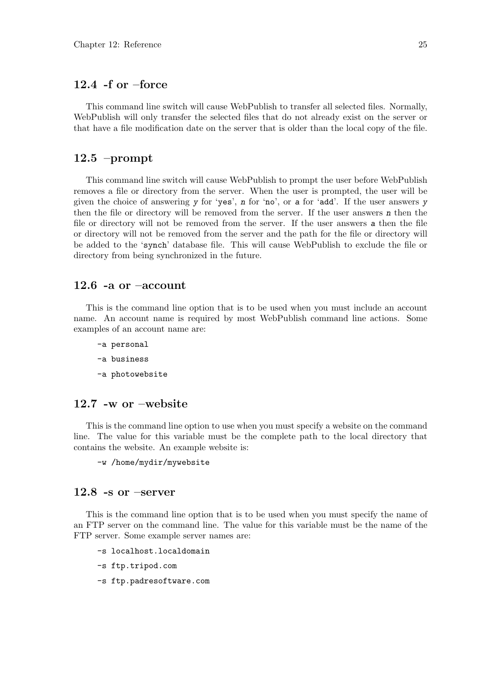### 12.4 -f or –force

This command line switch will cause WebPublish to transfer all selected files. Normally, WebPublish will only transfer the selected files that do not already exist on the server or that have a file modification date on the server that is older than the local copy of the file.

#### 12.5 –prompt

This command line switch will cause WebPublish to prompt the user before WebPublish removes a file or directory from the server. When the user is prompted, the user will be given the choice of answering y for 'yes', n for 'no', or a for 'add'. If the user answers y then the file or directory will be removed from the server. If the user answers  $n$  then the file or directory will not be removed from the server. If the user answers a then the file or directory will not be removed from the server and the path for the file or directory will be added to the 'synch' database file. This will cause WebPublish to exclude the file or directory from being synchronized in the future.

#### 12.6 -a or  $-\text{account}$

This is the command line option that is to be used when you must include an account name. An account name is required by most WebPublish command line actions. Some examples of an account name are:

- -a personal
- -a business
- -a photowebsite

#### 12.7 -w or –website

This is the command line option to use when you must specify a website on the command line. The value for this variable must be the complete path to the local directory that contains the website. An example website is:

-w /home/mydir/mywebsite

### 12.8 -s or –server

This is the command line option that is to be used when you must specify the name of an FTP server on the command line. The value for this variable must be the name of the FTP server. Some example server names are:

- -s localhost.localdomain
- -s ftp.tripod.com
- -s ftp.padresoftware.com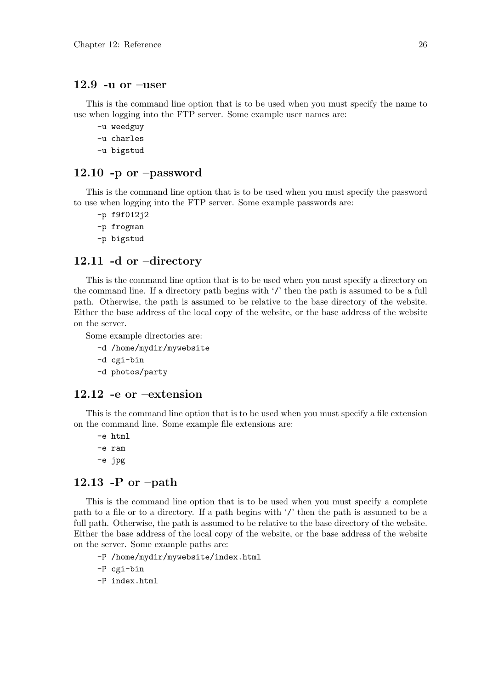#### 12.9 -u or –user

This is the command line option that is to be used when you must specify the name to use when logging into the FTP server. Some example user names are:

- -u weedguy
- -u charles
- -u bigstud

#### 12.10 -p or –password

This is the command line option that is to be used when you must specify the password to use when logging into the FTP server. Some example passwords are:

-p f9f012j2 -p frogman -p bigstud

#### 12.11 -d or –directory

This is the command line option that is to be used when you must specify a directory on the command line. If a directory path begins with '/' then the path is assumed to be a full path. Otherwise, the path is assumed to be relative to the base directory of the website. Either the base address of the local copy of the website, or the base address of the website on the server.

Some example directories are:

- -d /home/mydir/mywebsite
- -d cgi-bin
- -d photos/party

#### 12.12 -e or –extension

This is the command line option that is to be used when you must specify a file extension on the command line. Some example file extensions are:

-e html -e ram -e jpg

### 12.13 -P or  $-path$

This is the command line option that is to be used when you must specify a complete path to a file or to a directory. If a path begins with '/' then the path is assumed to be a full path. Otherwise, the path is assumed to be relative to the base directory of the website. Either the base address of the local copy of the website, or the base address of the website on the server. Some example paths are:

- -P /home/mydir/mywebsite/index.html
- -P cgi-bin
- -P index.html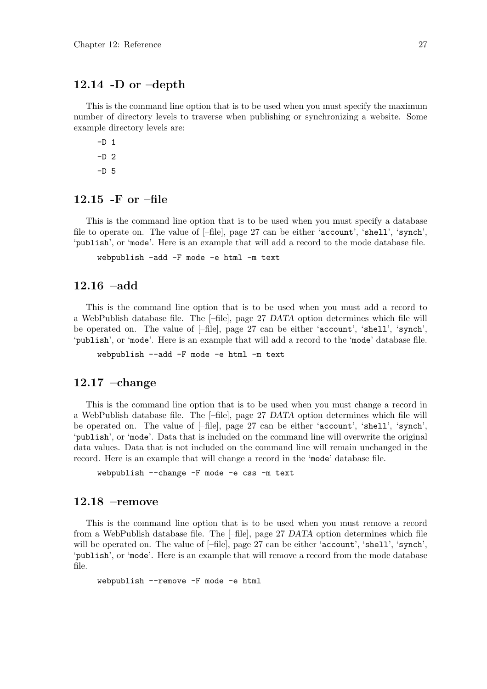#### 12.14 -D or  $-\text{depth}$

This is the command line option that is to be used when you must specify the maximum number of directory levels to traverse when publishing or synchronizing a website. Some example directory levels are:

 $-D$  1  $-D<sub>2</sub>$  $-D<sub>5</sub>$ 

### 12.15 -F or –file

This is the command line option that is to be used when you must specify a database file to operate on. The value of [–file], page 27 can be either 'account', 'shell', 'synch', 'publish', or 'mode'. Here is an example that will add a record to the mode database file.

webpublish -add -F mode -e html -m text

### 12.16 –add

This is the command line option that is to be used when you must add a record to a WebPublish database file. The [–file], page 27 DATA option determines which file will be operated on. The value of [–file], page 27 can be either 'account', 'shell', 'synch', 'publish', or 'mode'. Here is an example that will add a record to the 'mode' database file.

webpublish --add -F mode -e html -m text

#### 12.17 –change

This is the command line option that is to be used when you must change a record in a WebPublish database file. The [–file], page 27 DATA option determines which file will be operated on. The value of [–file], page 27 can be either 'account', 'shell', 'synch', 'publish', or 'mode'. Data that is included on the command line will overwrite the original data values. Data that is not included on the command line will remain unchanged in the record. Here is an example that will change a record in the 'mode' database file.

webpublish --change -F mode -e css -m text

#### 12.18 –remove

This is the command line option that is to be used when you must remove a record from a WebPublish database file. The [–file], page 27 DATA option determines which file will be operated on. The value of [–file], page 27 can be either 'account', 'shell', 'synch', 'publish', or 'mode'. Here is an example that will remove a record from the mode database file.

webpublish --remove -F mode -e html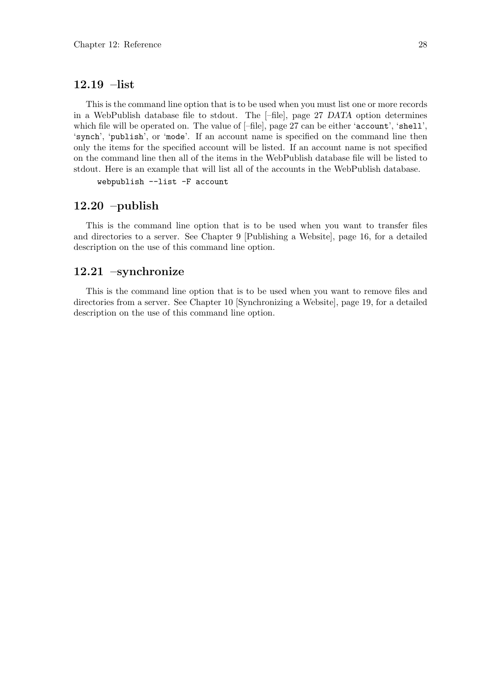#### 12.19 –list

This is the command line option that is to be used when you must list one or more records in a WebPublish database file to stdout. The [–file], page 27 DATA option determines which file will be operated on. The value of  $[-file]$ , page 27 can be either 'account', 'shell', 'synch', 'publish', or 'mode'. If an account name is specified on the command line then only the items for the specified account will be listed. If an account name is not specified on the command line then all of the items in the WebPublish database file will be listed to stdout. Here is an example that will list all of the accounts in the WebPublish database.

webpublish --list -F account

#### 12.20 –publish

This is the command line option that is to be used when you want to transfer files and directories to a server. See Chapter 9 [Publishing a Website], page 16, for a detailed description on the use of this command line option.

#### 12.21 –synchronize

This is the command line option that is to be used when you want to remove files and directories from a server. See Chapter 10 [Synchronizing a Website], page 19, for a detailed description on the use of this command line option.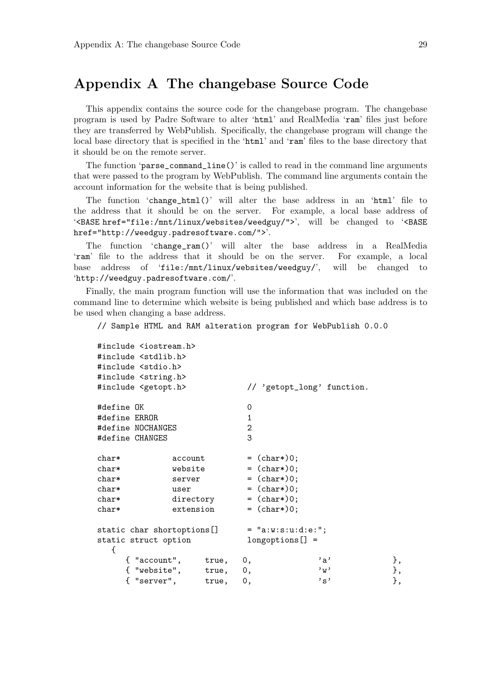# Appendix A The changebase Source Code

This appendix contains the source code for the changebase program. The changebase program is used by Padre Software to alter 'html' and RealMedia 'ram' files just before they are transferred by WebPublish. Specifically, the changebase program will change the local base directory that is specified in the 'html' and 'ram' files to the base directory that it should be on the remote server.

The function 'parse\_command\_line()' is called to read in the command line arguments that were passed to the program by WebPublish. The command line arguments contain the account information for the website that is being published.

The function 'change\_html()' will alter the base address in an 'html' file to the address that it should be on the server. For example, a local base address of '<BASE href="file:/mnt/linux/websites/weedguy/">', will be changed to '<BASE href="http://weedguy.padresoftware.com/">'.

The function 'change\_ram()' will alter the base address in a RealMedia 'ram' file to the address that it should be on the server. For example, a local base address of 'file:/mnt/linux/websites/weedguy/', will be changed to 'http://weedguy.padresoftware.com/'.

Finally, the main program function will use the information that was included on the command line to determine which website is being published and which base address is to be used when changing a base address.

// Sample HTML and RAM alteration program for WebPublish 0.0.0

| #include <iostream.h><br/>#include <stdlib.h><br/>#include <stdio.h><br/>#include <string.h></string.h></stdio.h></stdlib.h></iostream.h> |  |                                                                                                    |                                          |                               |                |  |
|-------------------------------------------------------------------------------------------------------------------------------------------|--|----------------------------------------------------------------------------------------------------|------------------------------------------|-------------------------------|----------------|--|
| #include <getopt.h></getopt.h>                                                                                                            |  |                                                                                                    | // 'getopt_long' function.               |                               |                |  |
| #define OK<br>#define ERROR<br>#define NOCHANGES<br>#define CHANGES                                                                       |  |                                                                                                    | 0<br>$\mathbf{1}$<br>$\mathbf{2}$<br>3   |                               |                |  |
| $char*$<br>account<br>website<br>$char*$<br>$char*$<br>server<br>$char*$<br>user<br>$char*$<br>directory<br>extension<br>$char*$          |  | $=$ (char*)0;<br>$=$ (char*)0;<br>$=$ (char*)0;<br>$=$ (char*)0;<br>$=$ (char*)0;<br>$=$ (char*)0; |                                          |                               |                |  |
| static char shortoptions[]<br>static struct option<br>€                                                                                   |  |                                                                                                    | $=$ "a:w:s:u:d:e:";<br>$longoptions[] =$ |                               |                |  |
| { "server",                                                                                                                               |  | { "account", true,<br>{ "website", true,<br>true,                                                  | 0.<br>0,<br>0,                           | , a,<br>, w<br>$,$ $_{\rm s}$ | },<br>},<br>}, |  |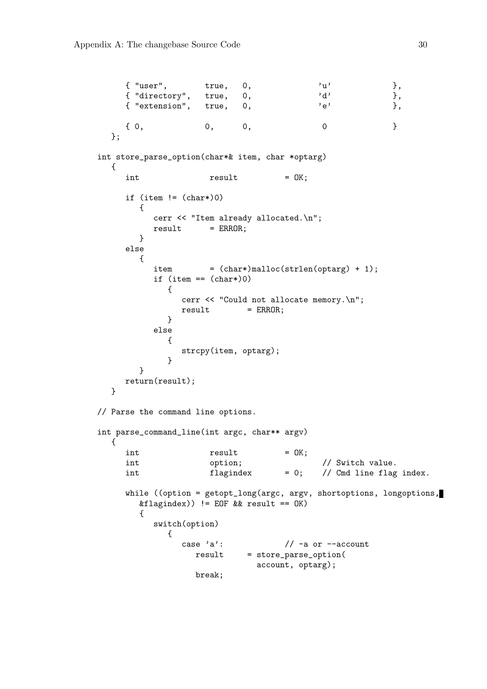```
{ "user", true, 0, 'u' },
     { "directory", true, 0, 'd' \},
     { "extension", true, 0, 'e' \},
     \{ 0, 0, 0, 0 \}};
int store_parse_option(char*& item, char *optarg)
  {
     int result = OK;
     if (item != (char*)0)
       {
          cerr << "Item already allocated.\n";
         result = ERROR;}
     else
       {
          item = (char*)malloc(strlen(optarg) + 1);
          if item == (char*)0){
               cerr << "Could not allocate memory.\n";
               result = ERROR;}
          else
            {
               strcpy(item, optarg);
            }
       }
     return(result);
  }
// Parse the command line options.
int parse_command_line(int argc, char** argv)
  {
     int result = 0K;
     int option; \sqrt{2} option; \sqrt{2} switch value.
     int \begin{array}{ccc} \text{if } \text{[Iagindex]} & = 0; \end{array} // Cmd line flag index.
     while ((option = getopt_long(argc, argv, shortoptions, longoptions,
       &flagindex)) != EOF && result == OK)
       {
          switch(option)
            {
               case a': // -a or --account
                 result = store_parse_option(
                            account, optarg);
                 break;
```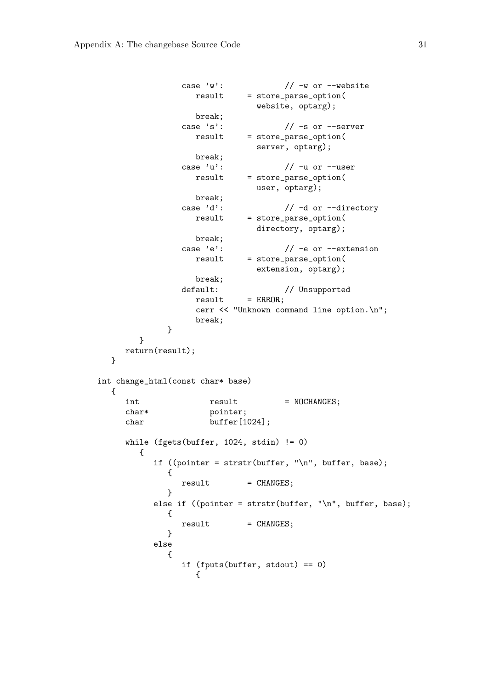```
case \sqrt{w'}: \sqrt{2w} -w or --website
                  result = store_parse_option(
                             website, optarg);
                  break;
               case 's': // -s or --serverresult = store_parse_option(
                              server, optarg);
                  break;
                case 'u': // -u or --userresult = store_parse_option(
                             user, optarg);
                  break;
               case 'd': // -d or --directory
                  result = store_parse_option(
                              directory, optarg);
                  break;
                case 'e': \frac{1}{2} -e or --extension
                  result = store_parse_option(
                              extension, optarg);
                  break;
               default: // Unsupported
                  result = ERROR;cerr << "Unknown command line option.\n";
                  break;
             }
        }
     return(result);
  }
int change_html(const char* base)
  {
     int result = NOCHANGES;
     char* pointer;
     char buffer[1024];
     while (fgets(buffer, 1024, stdin) != 0)
       {
          if ((pointer = strstr(buffer, "\n\times", buffer, base);
             {
               result = CHANGES;}
          else if ((pointer = strstr(buffer, "\n", buffer, base);
             {
               result = CHANGES;}
          else
             {
                if (fputs(buffer, stdout) == 0)
                  {
```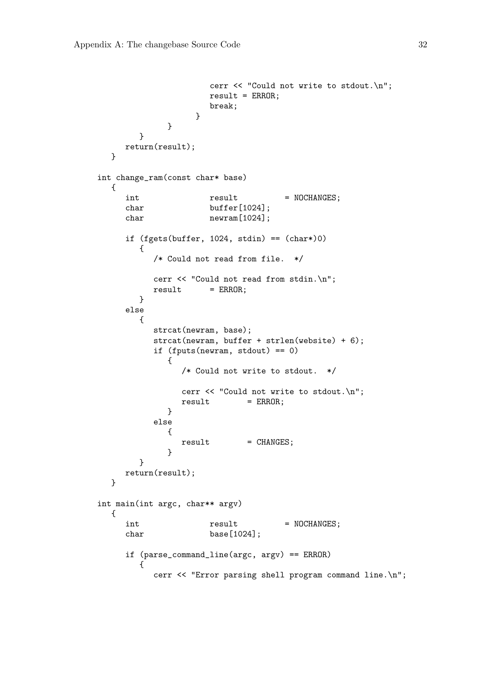```
cerr << "Could not write to stdout.\n";
                     result = ERROR;break;
                  }
             }
       }
     return(result);
  }
int change_ram(const char* base)
  {
     int result = NOCHANGES;
     char buffer[1024];
     char newram [1024];
     if (fgets(buffer, 1024, stdin) == (char*)0){
          /* Could not read from file. */
          cerr << "Could not read from stdin.\n";
          result = ERROR;}
     else
       {
          strcat(newram, base);
          strcat(newram, buffer + strlen(website) + 6);
          if (fputs(newram, stdout) == 0)
             {
               /* Could not write to stdout. */
                cerr << "Could not write to stdout.\n";
               result = ERROR;}
          else
             {
               result = CHANGES;}
        }
     return(result);
  }
int main(int argc, char** argv)
  {
     int result = NOCHANGES;
     char base[1024];
     if (parse_command_line(argc, argv) == ERROR)
        {
          cerr << "Error parsing shell program command line.\n";
```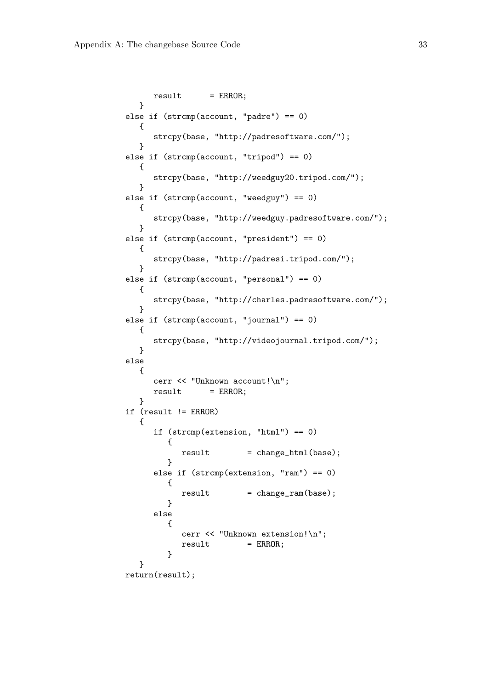```
result = ERROR;}
else if (strcmp(account, "padre") == 0)
   {
      strcpy(base, "http://padresoftware.com/");
   }
else if (strcmp(account, "tripod") == 0)
   {
      strcpy(base, "http://weedguy20.tripod.com/");
   }
else if (strcmp(account, "weedguy") == 0)
   {
      strcpy(base, "http://weedguy.padresoftware.com/");
  }
else if (strcmp(account, "president") == 0)
  {
      strcpy(base, "http://padresi.tripod.com/");
   }
else if (strcmp(account, "personal") == 0)
   {
      strcpy(base, "http://charles.padresoftware.com/");
  }
else if (strcmp(account, "journal") == 0)
   {
      strcpy(base, "http://videojournal.tripod.com/");
   }
else
   {
      cerr << "Unknown account!\n";
      result = ERROR;}
if (result != ERROR)
   {
      if (strcmp(extension, "html") == 0)
         {
           result = change_thm1(base);}
      else if (strcmp(extension, "ram") == 0)
         \mathbf{f}result = change\_ram(base);}
      else
         {
            cerr << "Unknown extension!\n";
           result = ERROR;}
   }
return(result);
```